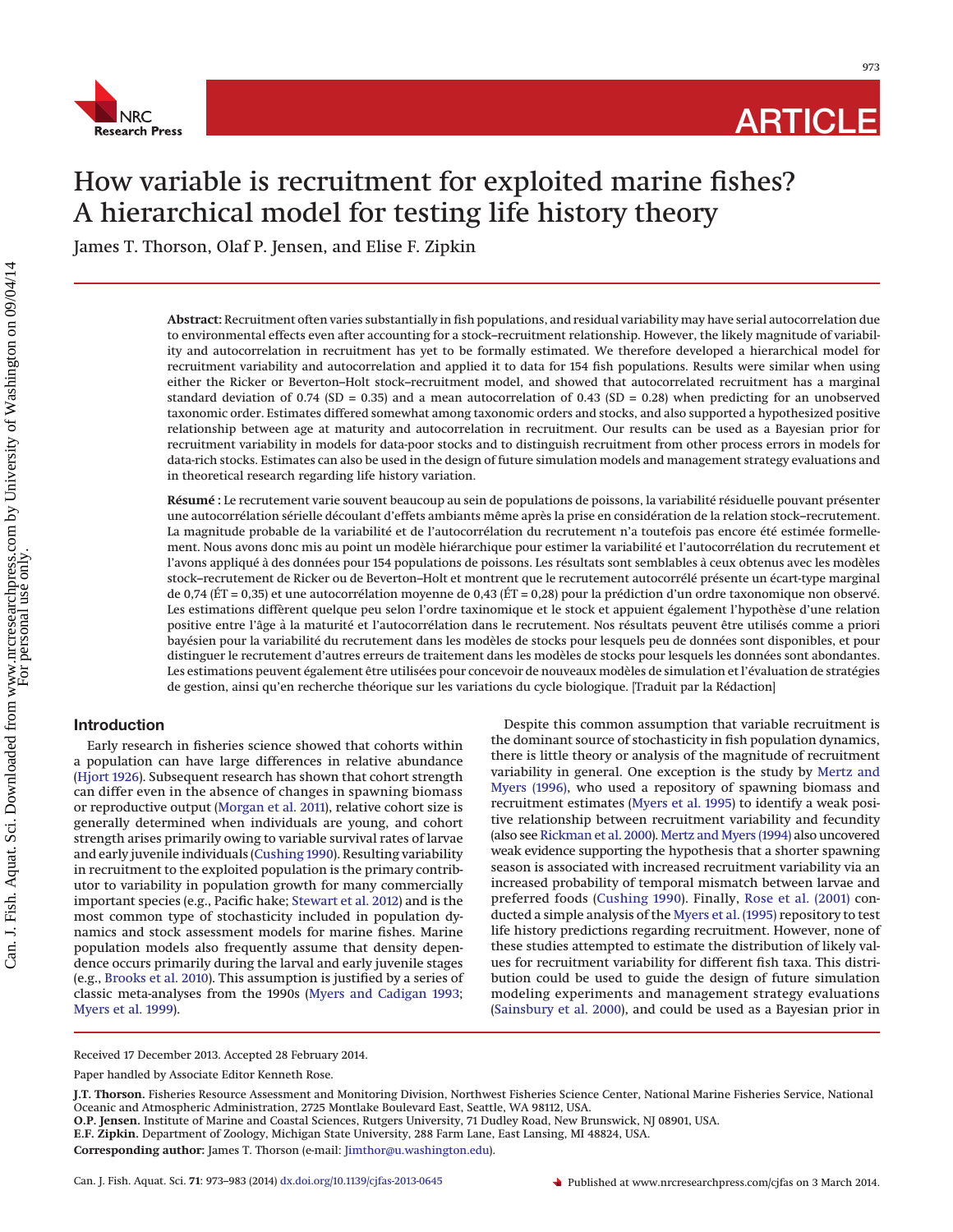

973

# How variable is recruitment for exploited marine fishes? A hierarchical model for testing life history theory

James T. Thorson, Olaf P. Jensen, and Elise F. Zipkin

**Abstract:** Recruitment often varies substantially in fish populations, and residual variability may have serial autocorrelation due to environmental effects even after accounting for a stock–recruitment relationship. However, the likely magnitude of variability and autocorrelation in recruitment has yet to be formally estimated. We therefore developed a hierarchical model for recruitment variability and autocorrelation and applied it to data for 154 fish populations. Results were similar when using either the Ricker or Beverton–Holt stock–recruitment model, and showed that autocorrelated recruitment has a marginal standard deviation of 0.74 (SD = 0.35) and a mean autocorrelation of 0.43 (SD = 0.28) when predicting for an unobserved taxonomic order. Estimates differed somewhat among taxonomic orders and stocks, and also supported a hypothesized positive relationship between age at maturity and autocorrelation in recruitment. Our results can be used as a Bayesian prior for recruitment variability in models for data-poor stocks and to distinguish recruitment from other process errors in models for data-rich stocks. Estimates can also be used in the design of future simulation models and management strategy evaluations and in theoretical research regarding life history variation.

**Résumé :** Le recrutement varie souvent beaucoup au sein de populations de poissons, la variabilité résiduelle pouvant présenter une autocorrélation sérielle découlant d'effets ambiants même après la prise en considération de la relation stock–recrutement. La magnitude probable de la variabilité et de l'autocorrélation du recrutement n'a toutefois pas encore été estimée formellement. Nous avons donc mis au point un modèle hiérarchique pour estimer la variabilité et l'autocorrélation du recrutement et l'avons appliqué à des données pour 154 populations de poissons. Les résultats sont semblables à ceux obtenus avec les modèles stock–recrutement de Ricker ou de Beverton–Holt et montrent que le recrutement autocorrélé présente un écart-type marginal de 0,74 (ÉT = 0,35) et une autocorrélation moyenne de 0,43 (ÉT = 0,28) pour la prédiction d'un ordre taxonomique non observé. Les estimations diffèrent quelque peu selon l'ordre taxinomique et le stock et appuient également l'hypothèse d'une relation positive entre l'âge a` la maturité et l'autocorrélation dans le recrutement. Nos résultats peuvent être utilisés comme a priori bayésien pour la variabilité du recrutement dans les modèles de stocks pour lesquels peu de données sont disponibles, et pour distinguer le recrutement d'autres erreurs de traitement dans les modèles de stocks pour lesquels les données sont abondantes. Les estimations peuvent également être utilisées pour concevoir de nouveaux modèles de simulation et l'évaluation de stratégies de gestion, ainsi qu'en recherche théorique sur les variations du cycle biologique. [Traduit par la Rédaction]

# **Introduction**

Early research in fisheries science showed that cohorts within a population can have large differences in relative abundance [\(Hjort 1926\)](#page-9-0). Subsequent research has shown that cohort strength can differ even in the absence of changes in spawning biomass or reproductive output [\(Morgan et al. 2011\)](#page-9-1), relative cohort size is generally determined when individuals are young, and cohort strength arises primarily owing to variable survival rates of larvae and early juvenile individuals [\(Cushing 1990\)](#page-9-2). Resulting variability in recruitment to the exploited population is the primary contributor to variability in population growth for many commercially important species (e.g., Pacific hake; [Stewart et al. 2012\)](#page-9-3) and is the most common type of stochasticity included in population dynamics and stock assessment models for marine fishes. Marine population models also frequently assume that density dependence occurs primarily during the larval and early juvenile stages (e.g., [Brooks et al. 2010\)](#page-9-4). This assumption is justified by a series of classic meta-analyses from the 1990s [\(Myers and Cadigan 1993;](#page-9-5) [Myers et al. 1999\)](#page-9-6).

Despite this common assumption that variable recruitment is the dominant source of stochasticity in fish population dynamics, there is little theory or analysis of the magnitude of recruitment variability in general. One exception is the study by [Mertz and](#page-9-7) [Myers \(1996\),](#page-9-7) who used a repository of spawning biomass and recruitment estimates [\(Myers et al. 1995\)](#page-9-8) to identify a weak positive relationship between recruitment variability and fecundity (also see [Rickman et al. 2000\)](#page-9-9). [Mertz and Myers \(1994\)](#page-9-10) also uncovered weak evidence supporting the hypothesis that a shorter spawning season is associated with increased recruitment variability via an increased probability of temporal mismatch between larvae and preferred foods [\(Cushing 1990\)](#page-9-2). Finally, [Rose et al. \(2001\)](#page-9-11) conducted a simple analysis of the [Myers et al. \(1995\)](#page-9-8) repository to test life history predictions regarding recruitment. However, none of these studies attempted to estimate the distribution of likely values for recruitment variability for different fish taxa. This distribution could be used to guide the design of future simulation modeling experiments and management strategy evaluations [\(Sainsbury et al. 2000\)](#page-9-12), and could be used as a Bayesian prior in

Received 17 December 2013. Accepted 28 February 2014.

**J.T. Thorson.** Fisheries Resource Assessment and Monitoring Division, Northwest Fisheries Science Center, National Marine Fisheries Service, National Oceanic and Atmospheric Administration, 2725 Montlake Boulevard East, Seattle, WA 98112, USA.

**O.P. Jensen.** Institute of Marine and Coastal Sciences, Rutgers University, 71 Dudley Road, New Brunswick, NJ 08901, USA.

**E.F. Zipkin.** Department of Zoology, Michigan State University, 288 Farm Lane, East Lansing, MI 48824, USA.

**Corresponding author:** James T. Thorson (e-mail: [Jimthor@u.washington.edu\)](mailto:Jimthor@u.washington.edu).

Paper handled by Associate Editor Kenneth Rose.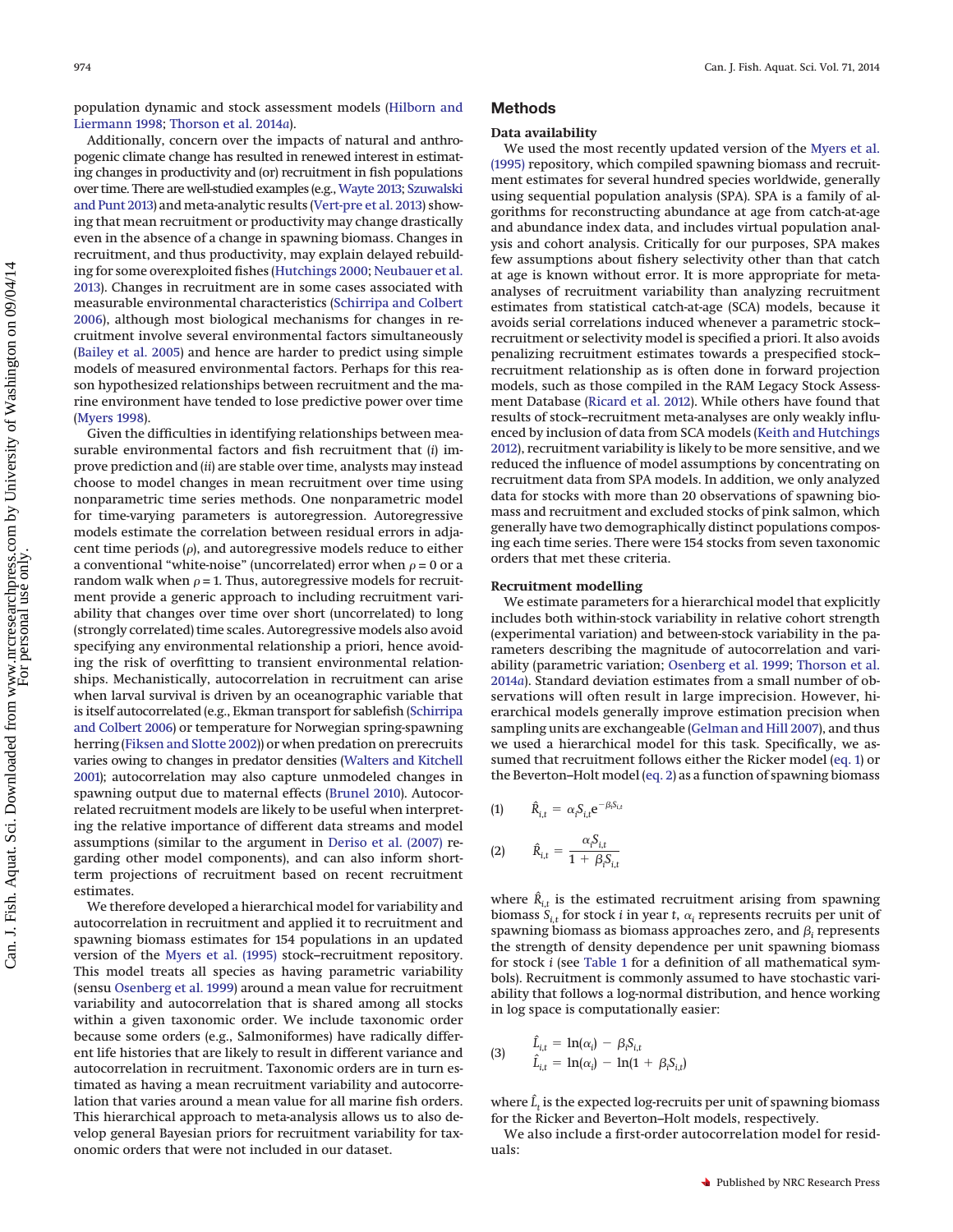population dynamic and stock assessment models [\(Hilborn and](#page-9-13) [Liermann 1998;](#page-9-13) [Thorson et al. 2014](#page-9-14)*a*).

Additionally, concern over the impacts of natural and anthropogenic climate change has resulted in renewed interest in estimating changes in productivity and (or) recruitment in fish populations over time. There are well-studied examples (e.g., [Wayte 2013;](#page-10-0) [Szuwalski](#page-9-15) [and Punt 2013\)](#page-9-15) and meta-analytic results [\(Vert-pre et al. 2013\)](#page-10-1) showing that mean recruitment or productivity may change drastically even in the absence of a change in spawning biomass. Changes in recruitment, and thus productivity, may explain delayed rebuilding for some overexploited fishes [\(Hutchings 2000;](#page-9-16) [Neubauer et al.](#page-9-17) [2013\)](#page-9-17). Changes in recruitment are in some cases associated with measurable environmental characteristics [\(Schirripa and Colbert](#page-9-18) [2006\)](#page-9-18), although most biological mechanisms for changes in recruitment involve several environmental factors simultaneously [\(Bailey et al. 2005\)](#page-8-0) and hence are harder to predict using simple models of measured environmental factors. Perhaps for this reason hypothesized relationships between recruitment and the marine environment have tended to lose predictive power over time [\(Myers 1998\)](#page-9-19).

Given the difficulties in identifying relationships between measurable environmental factors and fish recruitment that (*i*) improve prediction and (*ii*) are stable over time, analysts may instead choose to model changes in mean recruitment over time using nonparametric time series methods. One nonparametric model for time-varying parameters is autoregression. Autoregressive models estimate the correlation between residual errors in adjacent time periods  $(\rho)$ , and autoregressive models reduce to either a conventional "white-noise" (uncorrelated) error when  $\rho$  = 0 or a random walk when  $\rho$  = 1. Thus, autoregressive models for recruitment provide a generic approach to including recruitment variability that changes over time over short (uncorrelated) to long (strongly correlated) time scales. Autoregressive models also avoid specifying any environmental relationship a priori, hence avoiding the risk of overfitting to transient environmental relationships. Mechanistically, autocorrelation in recruitment can arise when larval survival is driven by an oceanographic variable that is itself autocorrelated (e.g., Ekman transport for sablefish [\(Schirripa](#page-9-18) [and Colbert 2006\)](#page-9-18) or temperature for Norwegian spring-spawning herring [\(Fiksen and Slotte 2002\)](#page-9-20)) or when predation on prerecruits varies owing to changes in predator densities [\(Walters and Kitchell](#page-10-2) [2001\)](#page-10-2); autocorrelation may also capture unmodeled changes in spawning output due to maternal effects [\(Brunel 2010\)](#page-9-21). Autocorrelated recruitment models are likely to be useful when interpreting the relative importance of different data streams and model assumptions (similar to the argument in [Deriso et al. \(2007\)](#page-9-22) regarding other model components), and can also inform shortterm projections of recruitment based on recent recruitment estimates.

We therefore developed a hierarchical model for variability and autocorrelation in recruitment and applied it to recruitment and spawning biomass estimates for 154 populations in an updated version of the [Myers et al. \(1995\)](#page-9-8) stock–recruitment repository. This model treats all species as having parametric variability (sensu [Osenberg et al. 1999\)](#page-9-23) around a mean value for recruitment variability and autocorrelation that is shared among all stocks within a given taxonomic order. We include taxonomic order because some orders (e.g., Salmoniformes) have radically different life histories that are likely to result in different variance and autocorrelation in recruitment. Taxonomic orders are in turn estimated as having a mean recruitment variability and autocorrelation that varies around a mean value for all marine fish orders. This hierarchical approach to meta-analysis allows us to also develop general Bayesian priors for recruitment variability for taxonomic orders that were not included in our dataset.

# **Methods**

#### **Data availability**

We used the most recently updated version of the [Myers et al.](#page-9-8) [\(1995\)](#page-9-8) repository, which compiled spawning biomass and recruitment estimates for several hundred species worldwide, generally using sequential population analysis (SPA). SPA is a family of algorithms for reconstructing abundance at age from catch-at-age and abundance index data, and includes virtual population analysis and cohort analysis. Critically for our purposes, SPA makes few assumptions about fishery selectivity other than that catch at age is known without error. It is more appropriate for metaanalyses of recruitment variability than analyzing recruitment estimates from statistical catch-at-age (SCA) models, because it avoids serial correlations induced whenever a parametric stock– recruitment or selectivity model is specified a priori. It also avoids penalizing recruitment estimates towards a prespecified stock– recruitment relationship as is often done in forward projection models, such as those compiled in the RAM Legacy Stock Assessment Database [\(Ricard et al. 2012\)](#page-9-24). While others have found that results of stock–recruitment meta-analyses are only weakly influenced by inclusion of data from SCA models [\(Keith and Hutchings](#page-9-25) [2012\)](#page-9-25), recruitment variability is likely to be more sensitive, and we reduced the influence of model assumptions by concentrating on recruitment data from SPA models. In addition, we only analyzed data for stocks with more than 20 observations of spawning biomass and recruitment and excluded stocks of pink salmon, which generally have two demographically distinct populations composing each time series. There were 154 stocks from seven taxonomic orders that met these criteria.

#### **Recruitment modelling**

We estimate parameters for a hierarchical model that explicitly includes both within-stock variability in relative cohort strength (experimental variation) and between-stock variability in the parameters describing the magnitude of autocorrelation and variability (parametric variation; [Osenberg et al. 1999;](#page-9-23) [Thorson et al.](#page-9-14) [2014](#page-9-14)*a*). Standard deviation estimates from a small number of observations will often result in large imprecision. However, hierarchical models generally improve estimation precision when sampling units are exchangeable [\(Gelman and Hill 2007\)](#page-9-26), and thus we used a hierarchical model for this task. Specifically, we assumed that recruitment follows either the Ricker model [\(eq. 1\)](#page-1-0) or the Beverton–Holt model [\(eq. 2\)](#page-1-1) as a function of spawning biomass

<span id="page-1-0"></span>(1) 
$$
\hat{R}_{i,t} = \alpha_i S_{i,t} e^{-\beta_i S_{i,t}}
$$
  
(2) 
$$
\hat{R}_{i,t} = \frac{\alpha_i S_{i,t}}{1 + \beta_i S_{i,t}}
$$

<span id="page-1-1"></span>where  $\hat{R}_{i,t}$  is the estimated recruitment arising from spawning biomass  $S_{i,t}$  for stock *i* in year *t*,  $\alpha_i$  represents recruits per unit of spawning biomass as biomass approaches zero, and  $\beta_i$  represents the strength of density dependence per unit spawning biomass for stock *i* (see [Table 1](#page-2-0) for a definition of all mathematical symbols). Recruitment is commonly assumed to have stochastic variability that follows a log-normal distribution, and hence working in log space is computationally easier:

(3) 
$$
\hat{L}_{i,t} = \ln(\alpha_i) - \beta_i S_{i,t} \n\hat{L}_{i,t} = \ln(\alpha_i) - \ln(1 + \beta_i S_{i,t})
$$

where  $\hat{L}_t$  is the expected log-recruits per unit of spawning biomass for the Ricker and Beverton–Holt models, respectively.

We also include a first-order autocorrelation model for residuals: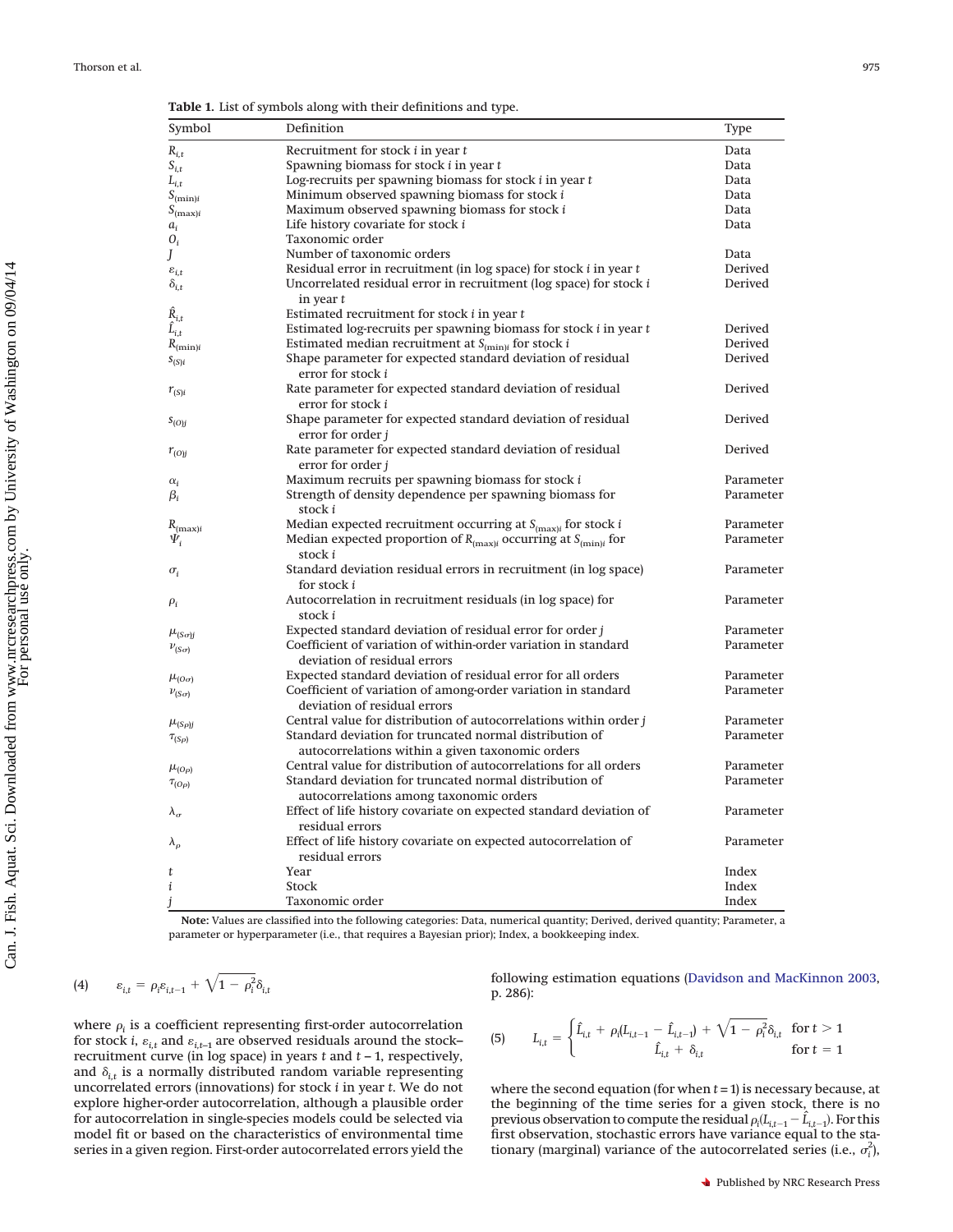<span id="page-2-0"></span>**Table 1.** List of symbols along with their definitions and type.

| Symbol              | Definition                                                                                                  | Type      |
|---------------------|-------------------------------------------------------------------------------------------------------------|-----------|
| $R_{i,t}$           | Recruitment for stock <i>i</i> in year <i>t</i>                                                             | Data      |
| $S_{i,t}$           | Spawning biomass for stock $i$ in year $t$                                                                  | Data      |
| $L_{i,t}$           | Log-recruits per spawning biomass for stock i in year t                                                     | Data      |
| $S_{(\min)i}$       | Minimum observed spawning biomass for stock i                                                               | Data      |
| $S_{(\max)i}$       | Maximum observed spawning biomass for stock i                                                               | Data      |
| $a_i$               | Life history covariate for stock i                                                                          | Data      |
| $O_i$               | Taxonomic order                                                                                             |           |
| J                   | Number of taxonomic orders                                                                                  | Data      |
| $\varepsilon_{i,t}$ | Residual error in recruitment (in log space) for stock <i>i</i> in year <i>t</i>                            | Derived   |
| $\delta_{i,t}$      | Uncorrelated residual error in recruitment (log space) for stock i<br>in year $t$                           | Derived   |
| $\hat{R}_{i,t}$     | Estimated recruitment for stock i in year t                                                                 |           |
| $\hat{L}_{i,t}$     | Estimated log-recruits per spawning biomass for stock i in year t                                           | Derived   |
| $R_{(\min)i}$       | Estimated median recruitment at $S_{(\mathrm{min})i}$ for stock $i$                                         | Derived   |
| $S_{(S)i}$          | Shape parameter for expected standard deviation of residual<br>error for stock i                            | Derived   |
| $r_{(S)i}$          | Rate parameter for expected standard deviation of residual<br>error for stock i                             | Derived   |
| $s_{(O)j}$          | Shape parameter for expected standard deviation of residual<br>error for order <i>i</i>                     | Derived   |
| $r_{(O)j}$          | Rate parameter for expected standard deviation of residual<br>error for order j                             | Derived   |
| $\alpha_i$          | Maximum recruits per spawning biomass for stock i                                                           | Parameter |
| $\beta_i$           | Strength of density dependence per spawning biomass for<br>stock i                                          | Parameter |
| $R_{(\max)i}$       | Median expected recruitment occurring at $S_{(max)i}$ for stock <i>i</i>                                    | Parameter |
| $\Psi_i$            | Median expected proportion of $R_{(\mathrm{max})i}$ occurring at $S_{(\mathrm{min})i}$ for<br>stock i       | Parameter |
| $\sigma_i$          | Standard deviation residual errors in recruitment (in log space)<br>for stock i                             | Parameter |
| $\rho_i$            | Autocorrelation in recruitment residuals (in log space) for<br>stock i                                      | Parameter |
| $\mu_{(S\sigma)j}$  | Expected standard deviation of residual error for order <i>i</i>                                            | Parameter |
| $\nu_{(S\sigma)}$   | Coefficient of variation of within-order variation in standard<br>deviation of residual errors              | Parameter |
| $\mu_{(O\sigma)}$   | Expected standard deviation of residual error for all orders                                                | Parameter |
| $\nu_{(S\sigma)}$   | Coefficient of variation of among-order variation in standard<br>deviation of residual errors               | Parameter |
| $\mu_{(S\rho)j}$    | Central value for distribution of autocorrelations within order $j$                                         | Parameter |
| $\tau_{(S\rho)}$    | Standard deviation for truncated normal distribution of<br>autocorrelations within a given taxonomic orders | Parameter |
| $\mu_{(O\rho)}$     | Central value for distribution of autocorrelations for all orders                                           | Parameter |
| $\tau_{(O\rho)}$    | Standard deviation for truncated normal distribution of                                                     | Parameter |
|                     | autocorrelations among taxonomic orders                                                                     |           |
| $\lambda_{\sigma}$  | Effect of life history covariate on expected standard deviation of<br>residual errors                       | Parameter |
| $\lambda_{\rho}$    | Effect of life history covariate on expected autocorrelation of<br>residual errors                          | Parameter |
| t                   | Year                                                                                                        | Index     |
| i                   | Stock                                                                                                       | Index     |
| i                   | Taxonomic order                                                                                             | Index     |

**Note:** Values are classified into the following categories: Data, numerical quantity; Derived, derived quantity; Parameter, a parameter or hyperparameter (i.e., that requires a Bayesian prior); Index, a bookkeeping index.

$$
(4) \qquad \varepsilon_{i,t} = \rho_i \varepsilon_{i,t-1} + \sqrt{1 - \rho_i^2} \delta_{i,t}
$$

where  $\rho_i$  is a coefficient representing first-order autocorrelation for stock *i*,  $\varepsilon_{i,t}$  and  $\varepsilon_{i,t-1}$  are observed residuals around the stock– recruitment curve (in log space) in years *t* and *t* – 1, respectively, and  $\delta_{i,t}$  is a normally distributed random variable representing uncorrelated errors (innovations) for stock *i* in year *t*. We do not explore higher-order autocorrelation, although a plausible order for autocorrelation in single-species models could be selected via model fit or based on the characteristics of environmental time series in a given region. First-order autocorrelated errors yield the

following estimation equations [\(Davidson and MacKinnon 2003,](#page-9-27) p. 286):

(5) 
$$
L_{i,t} = \begin{cases} \hat{L}_{i,t} + \rho_i (L_{i,t-1} - \hat{L}_{i,t-1}) + \sqrt{1 - \rho_i^2} \delta_{i,t} & \text{for } t > 1 \\ \hat{L}_{i,t} + \delta_{i,t} & \text{for } t = 1 \end{cases}
$$

where the second equation (for when *t =* 1) is necessary because, at the beginning of the time series for a given stock, there is no previous observation to compute the residual  $\rho_i(L_{i,t-1} - \hat{L}_{i,t-1})$ . For this first observation, stochastic errors have variance equal to the stationary (marginal) variance of the autocorrelated series (i.e.,  $\sigma_i^2$ ),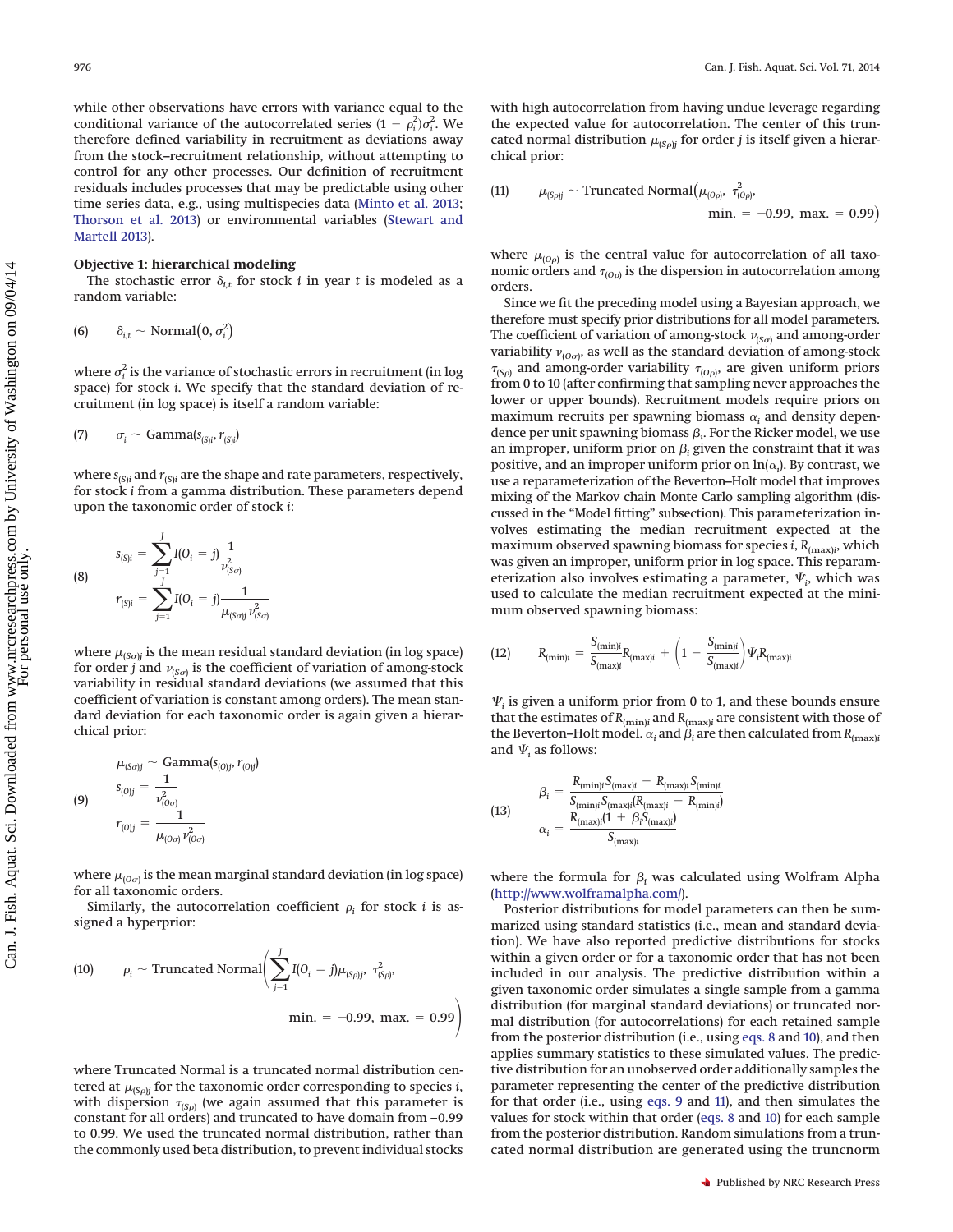while other observations have errors with variance equal to the conditional variance of the autocorrelated series  $(1 - \rho_i^2)\sigma_i^2$ . We therefore defined variability in recruitment as deviations away from the stock–recruitment relationship, without attempting to control for any other processes. Our definition of recruitment residuals includes processes that may be predictable using other time series data, e.g., using multispecies data [\(Minto et al. 2013;](#page-9-28) [Thorson et al. 2013\)](#page-9-29) or environmental variables [\(Stewart and](#page-9-30) [Martell 2013\)](#page-9-30).

## **Objective 1: hierarchical modeling**

The stochastic error  $\delta_{i,t}$  for stock *i* in year *t* is modeled as a random variable:

$$
(6) \qquad \delta_{i,t} \sim \text{Normal}\big(0, \sigma_i^2\big)
$$

where  $\sigma_i^2$  is the variance of stochastic errors in recruitment (in log space) for stock *i*. We specify that the standard deviation of recruitment (in log space) is itself a random variable:

$$
(7) \qquad \sigma_i \sim \text{Gamma}(s_{(S)i}, r_{(S)i})
$$

where  $s_{(S)i}$  and  $r_{(S)i}$  are the shape and rate parameters, respectively, for stock *i* from a gamma distribution. These parameters depend upon the taxonomic order of stock *i*:

(8) 
$$
s_{(S)i} = \sum_{j=1}^{J} I(O_i = j) \frac{1}{\nu_{(S\sigma)}^2}
$$

$$
r_{(S)i} = \sum_{j=1}^{J} I(O_i = j) \frac{1}{\mu_{(S\sigma)j} \nu_{(S\sigma)}^2}
$$

<span id="page-3-0"></span>where  $\mu_{(S \circ j)}$  is the mean residual standard deviation (in log space) for order *j* and  $v_{(S_{\sigma})}$  is the coefficient of variation of among-stock variability in residual standard deviations (we assumed that this coefficient of variation is constant among orders). The mean standard deviation for each taxonomic order is again given a hierarchical prior:

$$
\mu_{(So)j} \sim \text{Gamma}(s_{(0)j}, r_{(0)j})
$$
\n
$$
s_{(0)j} = \frac{1}{\nu_{(0\sigma)}^2}
$$
\n
$$
r_{(0)j} = \frac{1}{\mu_{(0\sigma)}\nu_{(0\sigma)}^2}
$$

<span id="page-3-2"></span>where  $\mu_{(O\sigma)}$  is the mean marginal standard deviation (in log space) for all taxonomic orders.

Similarly, the autocorrelation coefficient  $\rho_i$  for stock *i* is assigned a hyperprior:

<span id="page-3-1"></span>(10) 
$$
\rho_i \sim \text{Truncated Normal} \bigg( \sum_{j=1}^J I(0_i = j) \mu_{(S\rho)j}, \ \tau^2_{(S\rho)},
$$

$$
\text{min.} = -0.99, \ \text{max.} = 0.99 \bigg)
$$

where Truncated Normal is a truncated normal distribution centered at  $\mu_{(S\rho)j}$  for the taxonomic order corresponding to species *i*, with dispersion  $\tau_{(S\rho)}$  (we again assumed that this parameter is constant for all orders) and truncated to have domain from –0.99 to 0.99. We used the truncated normal distribution, rather than the commonly used beta distribution, to prevent individual stocks with high autocorrelation from having undue leverage regarding the expected value for autocorrelation. The center of this truncated normal distribution  $\mu_{(S\rho)j}$  for order  $j$  is itself given a hierarchical prior:

<span id="page-3-3"></span>(11) 
$$
\mu_{(S\rho j)} \sim \text{Truncated Normal}(\mu_{(O\rho)}, \tau^2_{(O\rho)},
$$
  
min. = -0.99, max. = 0.99)

where  $\mu_{(O\rho)}$  is the central value for autocorrelation of all taxonomic orders and  $\tau_{(O\rho)}$  is the dispersion in autocorrelation among orders.

Since we fit the preceding model using a Bayesian approach, we therefore must specify prior distributions for all model parameters. The coefficient of variation of among-stock  $\nu_{(S\sigma)}$  and among-order variability  $v_{(O\sigma)}$ , as well as the standard deviation of among-stock  $\tau_{(S\rho)}$  and among-order variability  $\tau_{(O\rho)}$ , are given uniform priors from 0 to 10 (after confirming that sampling never approaches the lower or upper bounds). Recruitment models require priors on maximum recruits per spawning biomass  $\alpha_i$  and density dependence per unit spawning biomass  $\beta_i$ . For the Ricker model, we use an improper, uniform prior on  $\beta_i$  given the constraint that it was positive, and an improper uniform prior on  $ln(\alpha_i)$ . By contrast, we use a reparameterization of the Beverton–Holt model that improves mixing of the Markov chain Monte Carlo sampling algorithm (discussed in the "Model fitting" subsection). This parameterization involves estimating the median recruitment expected at the maximum observed spawning biomass for species *i*, *R*(max)*<sup>i</sup>* , which was given an improper, uniform prior in log space. This reparameterization also involves estimating a parameter,  $\Psi_i$ , which was used to calculate the median recruitment expected at the minimum observed spawning biomass:

(12) 
$$
R_{(\min)i} = \frac{S_{(\min)i}}{S_{(\max)i}} R_{(\max)i} + \left(1 - \frac{S_{(\min)i}}{S_{(\max)i}}\right) \Psi_i R_{(\max)i}
$$

 $\Psi_i$  is given a uniform prior from 0 to 1, and these bounds ensure that the estimates of  $R_{(\mathrm{min})i}$  and  $R_{(\mathrm{max})i}$  are consistent with those of the Beverton–Holt model.  $\alpha_i$  and  $\beta_i$  are then calculated from  $R_{(max)i}$ and  $\Psi_i$  as follows:

(13) 
$$
\beta_{i} = \frac{R_{(\min)i} S_{(\max)i} - R_{(\max)i} S_{(\min)i}}{S_{(\min)i} S_{(\max)i} (R_{(\max)i} - R_{(\min)i})}
$$

$$
\alpha_{i} = \frac{R_{(\max)i} (1 + \beta_{i} S_{(\max)i})}{S_{(\max)i}}
$$

where the formula for  $\beta_i$  was calculated using Wolfram Alpha [\(http://www.wolframalpha.com/\)](http://www.wolframalpha.com/).

Posterior distributions for model parameters can then be summarized using standard statistics (i.e., mean and standard deviation). We have also reported predictive distributions for stocks within a given order or for a taxonomic order that has not been included in our analysis. The predictive distribution within a given taxonomic order simulates a single sample from a gamma distribution (for marginal standard deviations) or truncated normal distribution (for autocorrelations) for each retained sample from the posterior distribution (i.e., using [eqs. 8](#page-3-0) and [10\)](#page-3-1), and then applies summary statistics to these simulated values. The predictive distribution for an unobserved order additionally samples the parameter representing the center of the predictive distribution for that order (i.e., using [eqs. 9](#page-3-2) and [11\)](#page-3-3), and then simulates the values for stock within that order [\(eqs. 8](#page-3-0) and [10\)](#page-3-1) for each sample from the posterior distribution. Random simulations from a truncated normal distribution are generated using the truncnorm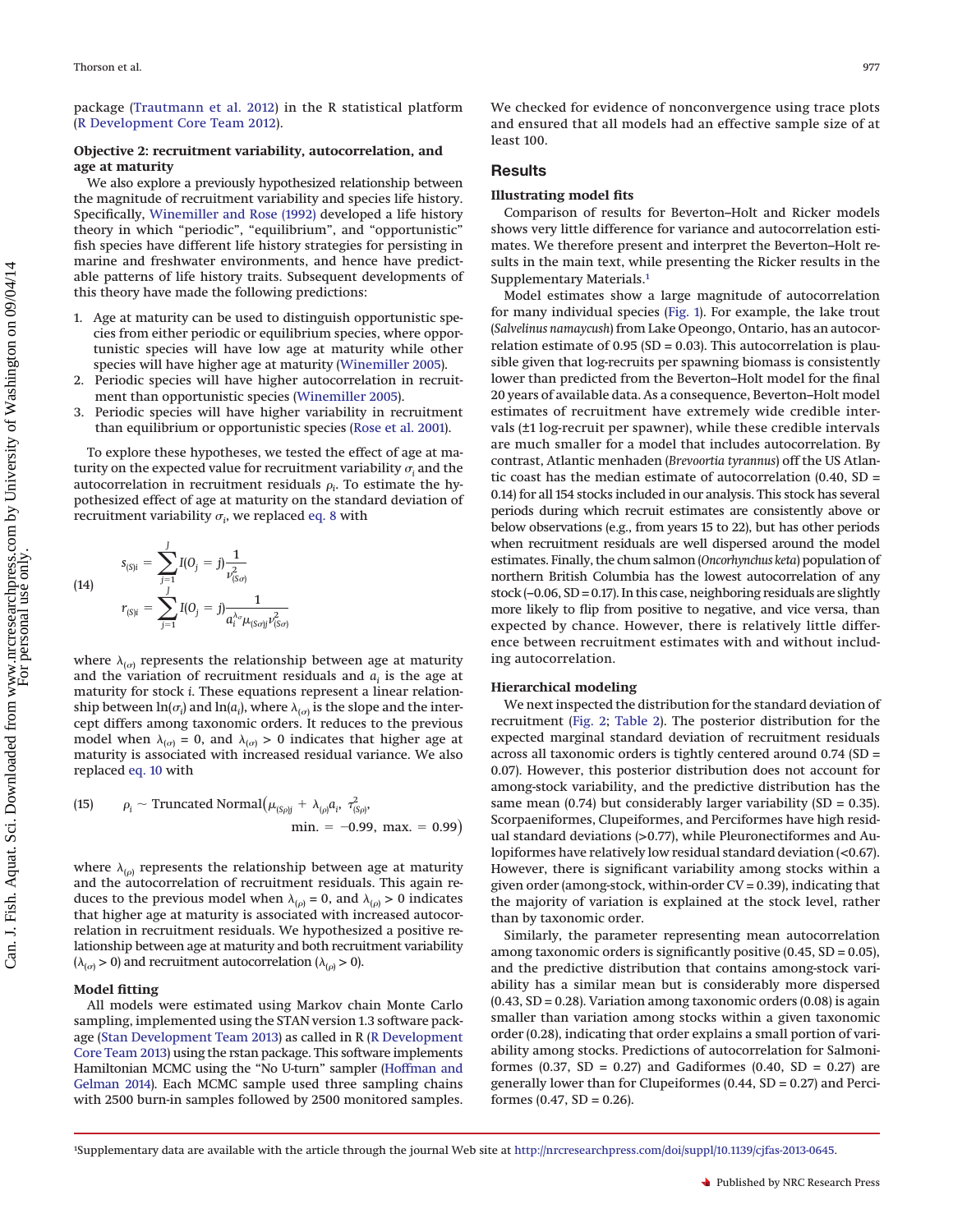package [\(Trautmann et al. 2012\)](#page-10-3) in the R statistical platform [\(R Development Core Team 2012\)](#page-9-31).

#### **Objective 2: recruitment variability, autocorrelation, and age at maturity**

We also explore a previously hypothesized relationship between the magnitude of recruitment variability and species life history. Specifically, [Winemiller and Rose \(1992\)](#page-10-4) developed a life history theory in which "periodic", "equilibrium", and "opportunistic" fish species have different life history strategies for persisting in marine and freshwater environments, and hence have predictable patterns of life history traits. Subsequent developments of this theory have made the following predictions:

- 1. Age at maturity can be used to distinguish opportunistic species from either periodic or equilibrium species, where opportunistic species will have low age at maturity while other species will have higher age at maturity [\(Winemiller 2005\)](#page-10-5).
- 2. Periodic species will have higher autocorrelation in recruitment than opportunistic species [\(Winemiller 2005\)](#page-10-5).
- 3. Periodic species will have higher variability in recruitment than equilibrium or opportunistic species [\(Rose et al. 2001\)](#page-9-11).

To explore these hypotheses, we tested the effect of age at maturity on the expected value for recruitment variability  $\sigma_i$  and the autocorrelation in recruitment residuals  $\rho_i$ . To estimate the hypothesized effect of age at maturity on the standard deviation of recruitment variability  $\sigma_i$ , we replaced [eq. 8](#page-3-0) with

(14) 
$$
s_{(S)i} = \sum_{j=1}^{J} I(0_j = j) \frac{1}{\nu_{(S\sigma)}^2}
$$

$$
r_{(S)i} = \sum_{j=1}^{J} I(0_j = j) \frac{1}{a_i^{\lambda_{\sigma}} \mu_{(S\sigma)} \nu_{(S\sigma)}^2}
$$

where  $\lambda_{(\sigma)}$  represents the relationship between age at maturity and the variation of recruitment residuals and  $a_i$  is the age at maturity for stock *i*. These equations represent a linear relationship between  $ln(\sigma_i)$  and  $ln(a_i)$ , where  $\lambda_{(\sigma)}$  is the slope and the intercept differs among taxonomic orders. It reduces to the previous model when  $\lambda_{(\sigma)} = 0$ , and  $\lambda_{(\sigma)} > 0$  indicates that higher age at maturity is associated with increased residual variance. We also replaced [eq. 10](#page-3-1) with

(15) 
$$
\rho_i \sim \text{Truncated Normal}(\mu_{(S\rho j} + \lambda_{(\rho)} a_i, \tau^2_{(S\rho)}, \text{max.} = 0.99)
$$

where  $\lambda_{(\rho)}$  represents the relationship between age at maturity and the autocorrelation of recruitment residuals. This again reduces to the previous model when  $\lambda_{(\rho)} = 0$ , and  $\lambda_{(\rho)} > 0$  indicates that higher age at maturity is associated with increased autocorrelation in recruitment residuals. We hypothesized a positive relationship between age at maturity and both recruitment variability  $(\lambda_{(\sigma)} > 0)$  and recruitment autocorrelation ( $\lambda_{(\rho)} > 0$ ).

#### **Model fitting**

All models were estimated using Markov chain Monte Carlo sampling, implemented using the STAN version 1.3 software package [\(Stan Development Team 2013\)](#page-9-32) as called in R [\(R Development](#page-9-33) [Core Team 2013\)](#page-9-33) using the rstan package. This software implements Hamiltonian MCMC using the "No U-turn" sampler [\(Hoffman and](#page-9-34) [Gelman 2014\)](#page-9-34). Each MCMC sample used three sampling chains with 2500 burn-in samples followed by 2500 monitored samples. We checked for evidence of nonconvergence using trace plots and ensured that all models had an effective sample size of at least 100.

#### **Results**

#### **Illustrating model fits**

Comparison of results for Beverton–Holt and Ricker models shows very little difference for variance and autocorrelation estimates. We therefore present and interpret the Beverton–Holt results in the main text, while presenting the Ricker results in the Supplementary Materials[.1](#page-4-0)

Model estimates show a large magnitude of autocorrelation for many individual species [\(Fig. 1\)](#page-5-0). For example, the lake trout (*Salvelinus namaycush*) from Lake Opeongo, Ontario, has an autocorrelation estimate of  $0.95$  (SD = 0.03). This autocorrelation is plausible given that log-recruits per spawning biomass is consistently lower than predicted from the Beverton–Holt model for the final 20 years of available data. As a consequence, Beverton–Holt model estimates of recruitment have extremely wide credible intervals (±1 log-recruit per spawner), while these credible intervals are much smaller for a model that includes autocorrelation. By contrast, Atlantic menhaden (*Brevoortia tyrannus*) off the US Atlantic coast has the median estimate of autocorrelation  $(0.40, SD =$ 0.14) for all 154 stocks included in our analysis. This stock has several periods during which recruit estimates are consistently above or below observations (e.g., from years 15 to 22), but has other periods when recruitment residuals are well dispersed around the model estimates. Finally, the chum salmon (*Oncorhynchus keta*) population of northern British Columbia has the lowest autocorrelation of any stock (–0.06, SD = 0.17). In this case, neighboring residuals are slightly more likely to flip from positive to negative, and vice versa, than expected by chance. However, there is relatively little difference between recruitment estimates with and without including autocorrelation.

#### **Hierarchical modeling**

We next inspected the distribution for the standard deviation of recruitment [\(Fig. 2;](#page-6-0) [Table 2\)](#page-7-0). The posterior distribution for the expected marginal standard deviation of recruitment residuals across all taxonomic orders is tightly centered around 0.74 (SD = 0.07). However, this posterior distribution does not account for among-stock variability, and the predictive distribution has the same mean  $(0.74)$  but considerably larger variability  $(SD = 0.35)$ . Scorpaeniformes, Clupeiformes, and Perciformes have high residual standard deviations (>0.77), while Pleuronectiformes and Aulopiformes have relatively low residual standard deviation (<0.67). However, there is significant variability among stocks within a given order (among-stock, within-order  $CV = 0.39$ ), indicating that the majority of variation is explained at the stock level, rather than by taxonomic order.

Similarly, the parameter representing mean autocorrelation among taxonomic orders is significantly positive (0.45, SD = 0.05), and the predictive distribution that contains among-stock variability has a similar mean but is considerably more dispersed  $(0.43, SD = 0.28)$ . Variation among taxonomic orders  $(0.08)$  is again smaller than variation among stocks within a given taxonomic order (0.28), indicating that order explains a small portion of variability among stocks. Predictions of autocorrelation for Salmoniformes (0.37, SD = 0.27) and Gadiformes (0.40, SD = 0.27) are generally lower than for Clupeiformes  $(0.44, SD = 0.27)$  and Perciformes  $(0.47, SD = 0.26)$ .

<span id="page-4-0"></span><sup>1</sup> Supplementary data are available with the article through the journal Web site at [http://nrcresearchpress.com/doi/suppl/10.1139/cjfas-2013-0645.](http://nrcresearchpress.com/doi/suppl/10.1139/cjfas-2013-0645)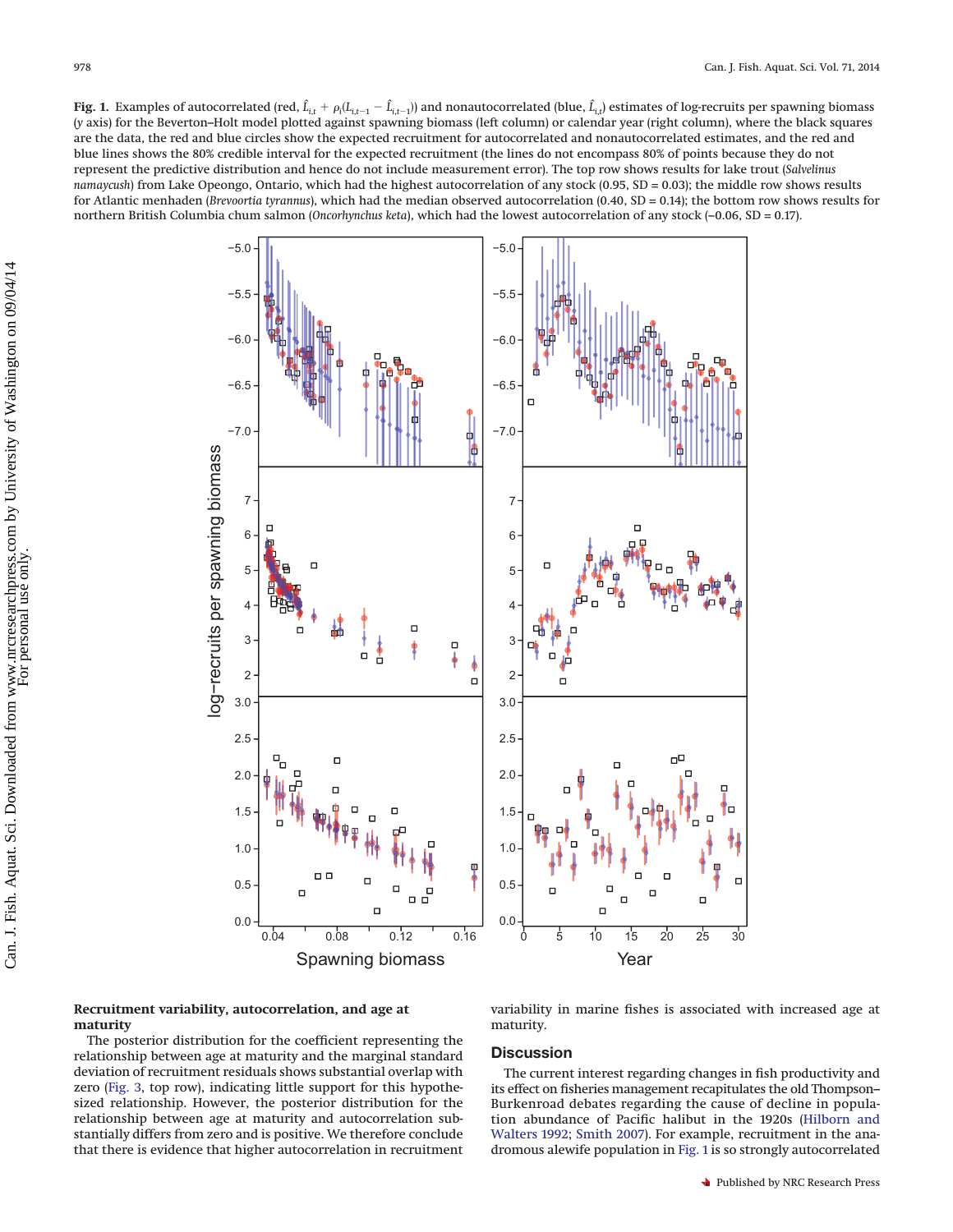<span id="page-5-0"></span>**Fig. 1.** Examples of autocorrelated (red,  $\hat{L}_{i,t} + \rho_i (L_{i,t-1}-\hat{L}_{i,t-1})$ ) and nonautocorrelated (blue,  $\hat{L}_{i,t}$ ) estimates of log-recruits per spawning biomass (*y* axis) for the Beverton–Holt model plotted against spawning biomass (left column) or calendar year (right column), where the black squares are the data, the red and blue circles show the expected recruitment for autocorrelated and nonautocorrelated estimates, and the red and blue lines shows the 80% credible interval for the expected recruitment (the lines do not encompass 80% of points because they do not represent the predictive distribution and hence do not include measurement error). The top row shows results for lake trout (*Salvelinus namaycush*) from Lake Opeongo, Ontario, which had the highest autocorrelation of any stock (0.95, SD = 0.03); the middle row shows results for Atlantic menhaden (*Brevoortia tyrannus*), which had the median observed autocorrelation (0.40, SD = 0.14); the bottom row shows results for northern British Columbia chum salmon (*Oncorhynchus keta*), which had the lowest autocorrelation of any stock (–0.06, SD = 0.17).



### **Recruitment variability, autocorrelation, and age at maturity**

The posterior distribution for the coefficient representing the relationship between age at maturity and the marginal standard deviation of recruitment residuals shows substantial overlap with zero [\(Fig. 3,](#page-8-1) top row), indicating little support for this hypothesized relationship. However, the posterior distribution for the relationship between age at maturity and autocorrelation substantially differs from zero and is positive. We therefore conclude that there is evidence that higher autocorrelation in recruitment variability in marine fishes is associated with increased age at maturity.

# **Discussion**

The current interest regarding changes in fish productivity and its effect on fisheries management recapitulates the old Thompson– Burkenroad debates regarding the cause of decline in population abundance of Pacific halibut in the 1920s [\(Hilborn and](#page-9-35) [Walters 1992;](#page-9-35) [Smith 2007\)](#page-9-36). For example, recruitment in the anadromous alewife population in [Fig. 1](#page-5-0) is so strongly autocorrelated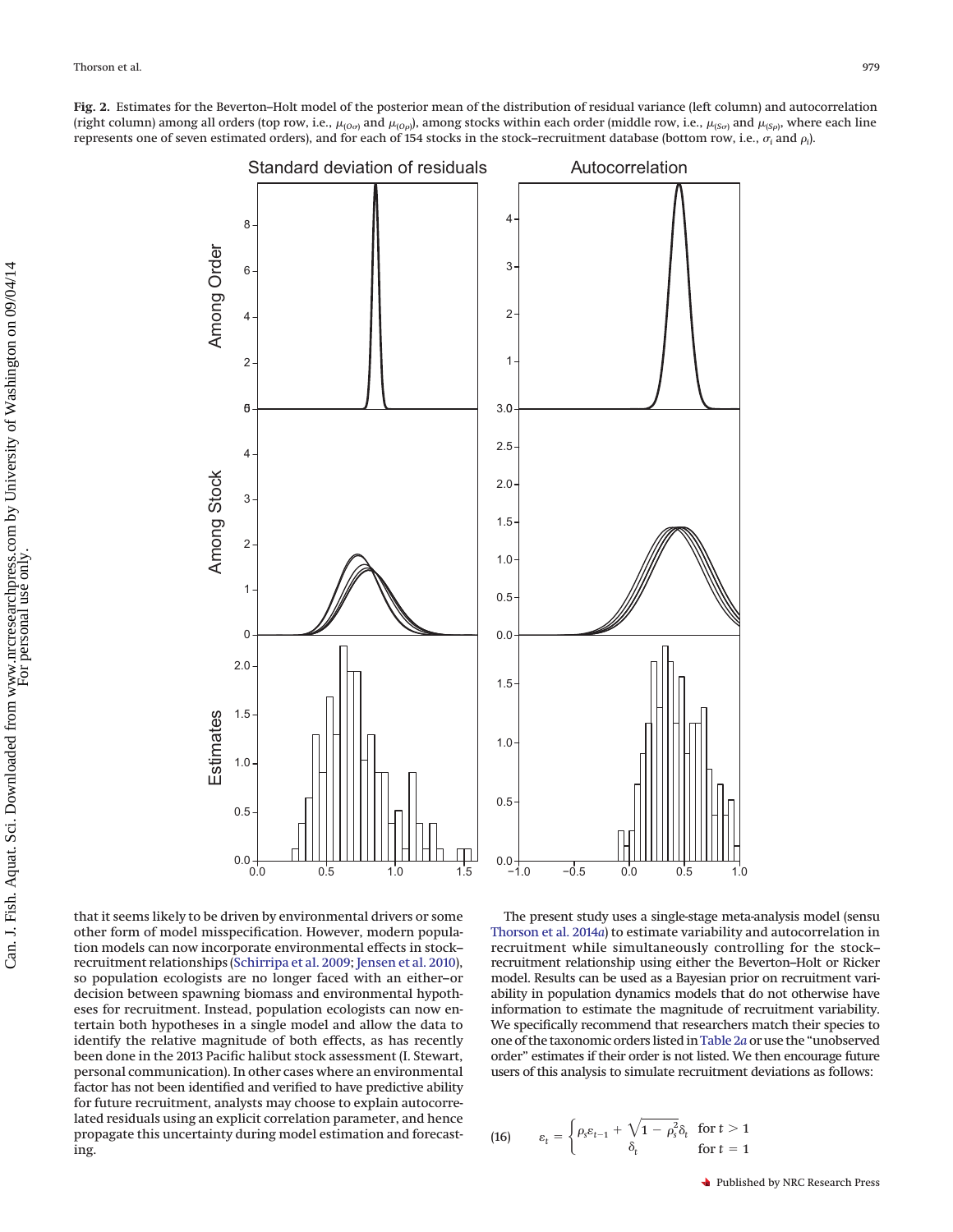<span id="page-6-0"></span>**Fig. 2.** Estimates for the Beverton–Holt model of the posterior mean of the distribution of residual variance (left column) and autocorrelation (right column) among all orders (top row, i.e.,  $\mu_{(Oo)}$  and  $\mu_{(O\rho)}$ ), among stocks within each order (middle row, i.e.,  $\mu_{(So)}$  and  $\mu_{(So)}$ , where each line represents one of seven estimated orders), and for each of 154 stocks in the stock–recruitment database (bottom row, i.e.,  $\sigma_i$  and  $\rho_i$ ).



that it seems likely to be driven by environmental drivers or some other form of model misspecification. However, modern population models can now incorporate environmental effects in stock– recruitment relationships [\(Schirripa et al. 2009;](#page-9-37) [Jensen et al. 2010\)](#page-9-38), so population ecologists are no longer faced with an either–or decision between spawning biomass and environmental hypotheses for recruitment. Instead, population ecologists can now entertain both hypotheses in a single model and allow the data to identify the relative magnitude of both effects, as has recently been done in the 2013 Pacific halibut stock assessment (I. Stewart, personal communication). In other cases where an environmental factor has not been identified and verified to have predictive ability for future recruitment, analysts may choose to explain autocorrelated residuals using an explicit correlation parameter, and hence propagate this uncertainty during model estimation and forecasting.

The present study uses a single-stage meta-analysis model (sensu [Thorson et al. 2014](#page-9-14)*a*) to estimate variability and autocorrelation in recruitment while simultaneously controlling for the stock– recruitment relationship using either the Beverton–Holt or Ricker model. Results can be used as a Bayesian prior on recruitment variability in population dynamics models that do not otherwise have information to estimate the magnitude of recruitment variability. We specifically recommend that researchers match their species to one of the taxonomic orders listed in[Table 2](#page-7-0)*a* or use the "unobserved order" estimates if their order is not listed. We then encourage future users of this analysis to simulate recruitment deviations as follows:

(16) 
$$
\varepsilon_t = \begin{cases} \rho_s \varepsilon_{t-1} + \sqrt{1 - \rho_s^2} \delta_t & \text{for } t > 1 \\ \delta_t & \text{for } t = 1 \end{cases}
$$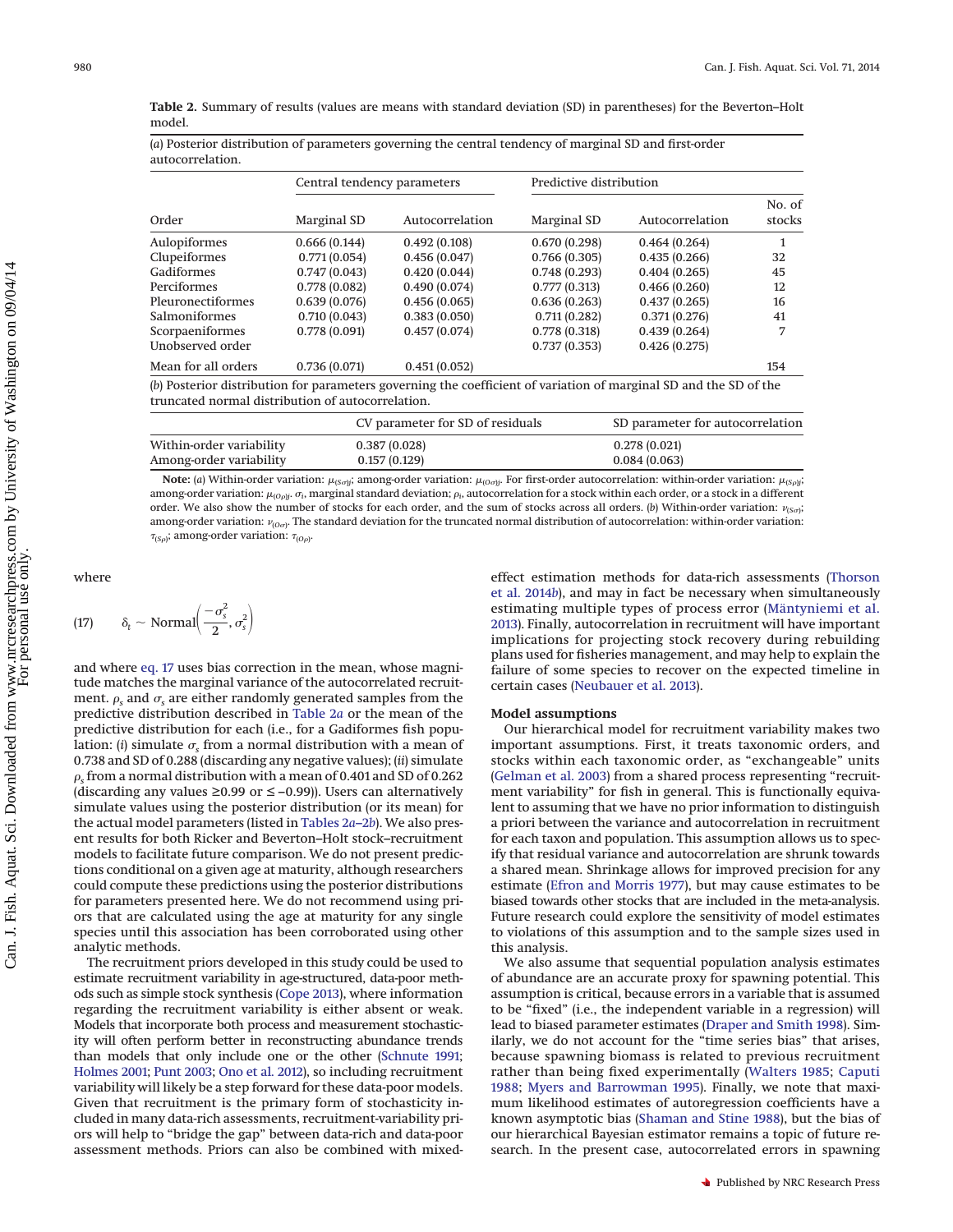<span id="page-7-0"></span>**Table 2.** Summary of results (values are means with standard deviation (SD) in parentheses) for the Beverton–Holt model.

(*a*) Posterior distribution of parameters governing the central tendency of marginal SD and first-order

|                                                   | Central tendency parameters |                 | Predictive distribution |                                                                                                                   |                  |
|---------------------------------------------------|-----------------------------|-----------------|-------------------------|-------------------------------------------------------------------------------------------------------------------|------------------|
| Order                                             | Marginal SD                 | Autocorrelation | Marginal SD             | Autocorrelation                                                                                                   | No. of<br>stocks |
| Aulopiformes                                      | 0.666(0.144)                | 0.492(0.108)    | 0.670(0.298)            | 0.464(0.264)                                                                                                      | $\mathbf{1}$     |
| Clupeiformes                                      | 0.771(0.054)                | 0.456(0.047)    | 0.766(0.305)            | 0.435(0.266)                                                                                                      | 32               |
| Gadiformes                                        | 0.747(0.043)                | 0.420(0.044)    | 0.748(0.293)            | 0.404(0.265)                                                                                                      | 45               |
| Perciformes                                       | 0.778(0.082)                | 0.490(0.074)    | 0.777(0.313)            | 0.466(0.260)                                                                                                      | 12               |
| Pleuronectiformes                                 | 0.639(0.076)                | 0.456(0.065)    | 0.636(0.263)            | 0.437(0.265)                                                                                                      | 16               |
| <b>Salmoniformes</b>                              | 0.710(0.043)                | 0.383(0.050)    | 0.711(0.282)            | 0.371(0.276)                                                                                                      | 41               |
| Scorpaeniformes                                   | 0.778(0.091)                | 0.457(0.074)    | 0.778(0.318)            | 0.439(0.264)                                                                                                      | 7                |
| Unobserved order                                  |                             |                 | 0.737(0.353)            | 0.426(0.275)                                                                                                      |                  |
| Mean for all orders                               | 0.736(0.071)                | 0.451(0.052)    |                         |                                                                                                                   | 154              |
| truncated normal distribution of autocorrelation. |                             |                 |                         | (b) Posterior distribution for parameters governing the coefficient of variation of marginal SD and the SD of the |                  |

|                          | CV parameter for SD of residuals | SD parameter for autocorrelation |
|--------------------------|----------------------------------|----------------------------------|
| Within-order variability | 0.387(0.028)                     | 0.278(0.021)                     |
| Among-order variability  | 0.157(0.129)                     | 0.084(0.063)                     |
|                          |                                  |                                  |

Note: (a) Within-order variation:  $\mu_{(S,\eta)}$ ; among-order variation:  $\mu_{(O\sigma)j}$ . For first-order autocorrelation: within-order variation:  $\mu_{(S\rho)j}$ ; among-order variation:  $\mu_{(O\rho) j}$ .  $\sigma_i$ , marginal standard deviation;  $\rho_i$ , autocorrelation for a stock within each order, or a stock in a different order. We also show the number of stocks for each order, and the sum of stocks across all orders. (*b*) Within-order variation:  $v_{(Soj)}$ among-order variation:  $\nu_{(O\sigma)}$ . The standard deviation for the truncated normal distribution of autocorrelation: within-order variation:  $\tau_{(S\rho)}$ ; among-order variation:  $\tau_{(O\rho)}$ .

where

<span id="page-7-1"></span>(17) 
$$
\delta_t \sim \text{Normal}\left(\frac{-\sigma_s^2}{2}, \sigma_s^2\right)
$$

and where [eq. 17](#page-7-1) uses bias correction in the mean, whose magnitude matches the marginal variance of the autocorrelated recruitment.  $\rho_s$  and  $\sigma_s$  are either randomly generated samples from the predictive distribution described in [Table 2](#page-7-0)*a* or the mean of the predictive distribution for each (i.e., for a Gadiformes fish population: (*i*) simulate  $\sigma_s$  from a normal distribution with a mean of 0.738 and SD of 0.288 (discarding any negative values); (*ii*) simulate  $\rho_{\rm s}$  from a normal distribution with a mean of 0.401 and SD of 0.262 (discarding any values ≥0.99 or  $\leq$  –0.99)). Users can alternatively simulate values using the posterior distribution (or its mean) for the actual model parameters (listed in [Tables 2](#page-7-0)*a*–2*b*). We also present results for both Ricker and Beverton–Holt stock–recruitment models to facilitate future comparison. We do not present predictions conditional on a given age at maturity, although researchers could compute these predictions using the posterior distributions for parameters presented here. We do not recommend using priors that are calculated using the age at maturity for any single species until this association has been corroborated using other analytic methods.

The recruitment priors developed in this study could be used to estimate recruitment variability in age-structured, data-poor methods such as simple stock synthesis [\(Cope 2013\)](#page-9-39), where information regarding the recruitment variability is either absent or weak. Models that incorporate both process and measurement stochasticity will often perform better in reconstructing abundance trends than models that only include one or the other [\(Schnute 1991;](#page-9-40) [Holmes 2001;](#page-9-41) [Punt 2003;](#page-9-42) [Ono et al. 2012\)](#page-9-43), so including recruitment variability will likely be a step forward for these data-poor models. Given that recruitment is the primary form of stochasticity included in many data-rich assessments, recruitment-variability priors will help to "bridge the gap" between data-rich and data-poor assessment methods. Priors can also be combined with mixedeffect estimation methods for data-rich assessments [\(Thorson](#page-9-44) [et al. 2014](#page-9-44)*b*), and may in fact be necessary when simultaneously estimating multiple types of process error [\(Mäntyniemi et al.](#page-9-45) [2013\)](#page-9-45). Finally, autocorrelation in recruitment will have important implications for projecting stock recovery during rebuilding plans used for fisheries management, and may help to explain the failure of some species to recover on the expected timeline in certain cases [\(Neubauer et al. 2013\)](#page-9-17).

#### **Model assumptions**

Our hierarchical model for recruitment variability makes two important assumptions. First, it treats taxonomic orders, and stocks within each taxonomic order, as "exchangeable" units [\(Gelman et al. 2003\)](#page-9-46) from a shared process representing "recruitment variability" for fish in general. This is functionally equivalent to assuming that we have no prior information to distinguish a priori between the variance and autocorrelation in recruitment for each taxon and population. This assumption allows us to specify that residual variance and autocorrelation are shrunk towards a shared mean. Shrinkage allows for improved precision for any estimate [\(Efron and Morris 1977\)](#page-9-47), but may cause estimates to be biased towards other stocks that are included in the meta-analysis. Future research could explore the sensitivity of model estimates to violations of this assumption and to the sample sizes used in this analysis.

We also assume that sequential population analysis estimates of abundance are an accurate proxy for spawning potential. This assumption is critical, because errors in a variable that is assumed to be "fixed" (i.e., the independent variable in a regression) will lead to biased parameter estimates [\(Draper and Smith 1998\)](#page-9-48). Similarly, we do not account for the "time series bias" that arises, because spawning biomass is related to previous recruitment rather than being fixed experimentally [\(Walters 1985;](#page-10-6) [Caputi](#page-9-49) [1988;](#page-9-49) [Myers and Barrowman 1995\)](#page-9-50). Finally, we note that maximum likelihood estimates of autoregression coefficients have a known asymptotic bias [\(Shaman and Stine 1988\)](#page-9-51), but the bias of our hierarchical Bayesian estimator remains a topic of future research. In the present case, autocorrelated errors in spawning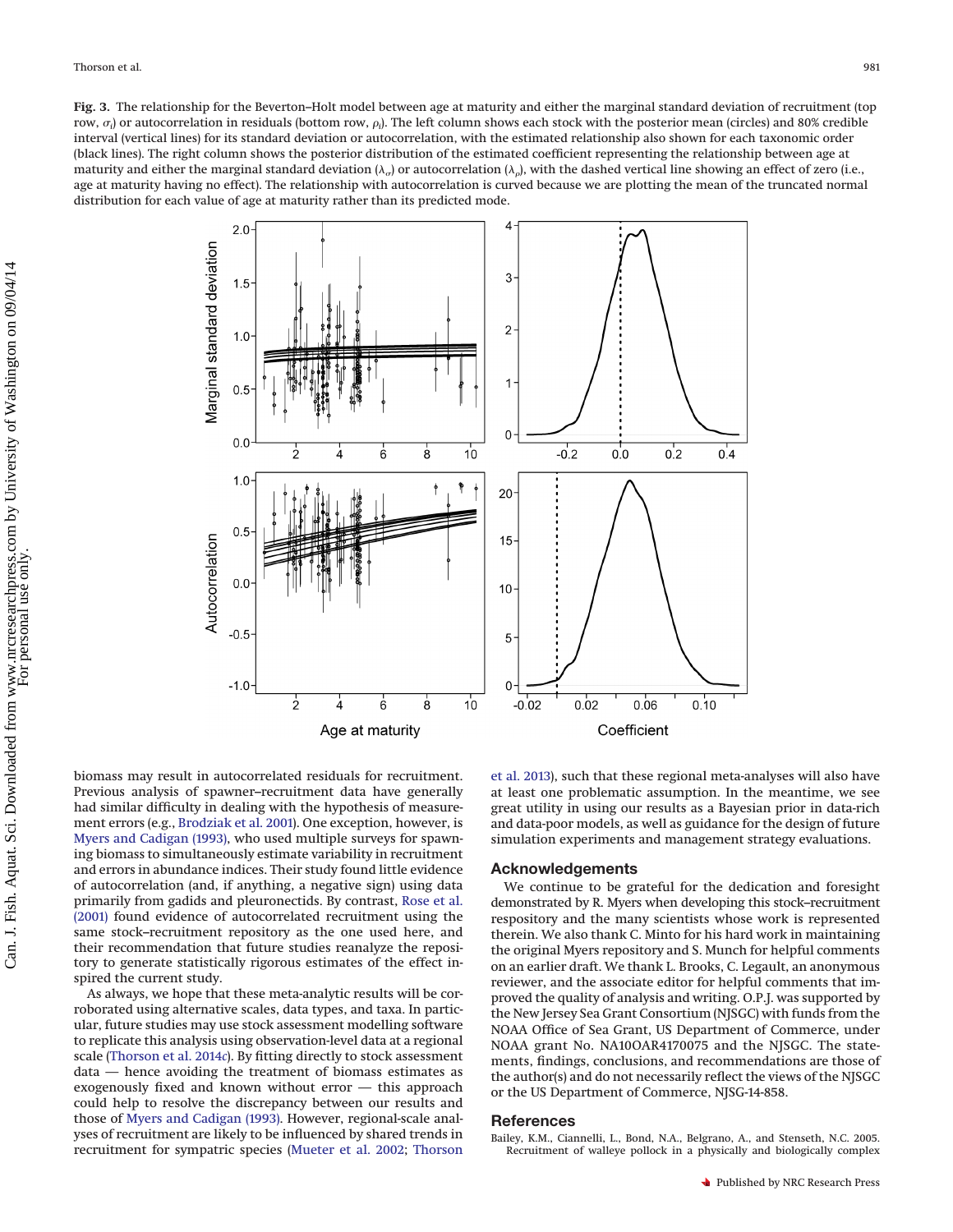<span id="page-8-1"></span>**Fig. 3.** The relationship for the Beverton–Holt model between age at maturity and either the marginal standard deviation of recruitment (top row,  $\sigma_i$ ) or autocorrelation in residuals (bottom row,  $\rho_i$ ). The left column shows each stock with the posterior mean (circles) and 80% credible interval (vertical lines) for its standard deviation or autocorrelation, with the estimated relationship also shown for each taxonomic order (black lines). The right column shows the posterior distribution of the estimated coefficient representing the relationship between age at maturity and either the marginal standard deviation ( $\lambda_o$ ) or autocorrelation ( $\lambda_o$ ), with the dashed vertical line showing an effect of zero (i.e., age at maturity having no effect). The relationship with autocorrelation is curved because we are plotting the mean of the truncated normal distribution for each value of age at maturity rather than its predicted mode.



biomass may result in autocorrelated residuals for recruitment. Previous analysis of spawner–recruitment data have generally had similar difficulty in dealing with the hypothesis of measurement errors (e.g., [Brodziak et al. 2001\)](#page-9-52). One exception, however, is [Myers and Cadigan \(1993\),](#page-9-5) who used multiple surveys for spawning biomass to simultaneously estimate variability in recruitment and errors in abundance indices. Their study found little evidence of autocorrelation (and, if anything, a negative sign) using data primarily from gadids and pleuronectids. By contrast, [Rose et al.](#page-9-11) [\(2001\)](#page-9-11) found evidence of autocorrelated recruitment using the same stock–recruitment repository as the one used here, and their recommendation that future studies reanalyze the repository to generate statistically rigorous estimates of the effect inspired the current study.

As always, we hope that these meta-analytic results will be corroborated using alternative scales, data types, and taxa. In particular, future studies may use stock assessment modelling software to replicate this analysis using observation-level data at a regional scale [\(Thorson et al. 2014](#page-9-53)*c*). By fitting directly to stock assessment data — hence avoiding the treatment of biomass estimates as exogenously fixed and known without error — this approach could help to resolve the discrepancy between our results and those of [Myers and Cadigan \(1993\).](#page-9-5) However, regional-scale analyses of recruitment are likely to be influenced by shared trends in recruitment for sympatric species [\(Mueter et al. 2002;](#page-9-54) [Thorson](#page-9-29) [et al. 2013\)](#page-9-29), such that these regional meta-analyses will also have at least one problematic assumption. In the meantime, we see great utility in using our results as a Bayesian prior in data-rich and data-poor models, as well as guidance for the design of future simulation experiments and management strategy evaluations.

#### **Acknowledgements**

We continue to be grateful for the dedication and foresight demonstrated by R. Myers when developing this stock–recruitment respository and the many scientists whose work is represented therein. We also thank C. Minto for his hard work in maintaining the original Myers repository and S. Munch for helpful comments on an earlier draft. We thank L. Brooks, C. Legault, an anonymous reviewer, and the associate editor for helpful comments that improved the quality of analysis and writing. O.P.J. was supported by the New Jersey Sea Grant Consortium (NJSGC) with funds from the NOAA Office of Sea Grant, US Department of Commerce, under NOAA grant No. NA10OAR4170075 and the NJSGC. The statements, findings, conclusions, and recommendations are those of the author(s) and do not necessarily reflect the views of the NJSGC or the US Department of Commerce, NJSG-14-858.

#### <span id="page-8-0"></span>**References**

Bailey, K.M., Ciannelli, L., Bond, N.A., Belgrano, A., and Stenseth, N.C. 2005. Recruitment of walleye pollock in a physically and biologically complex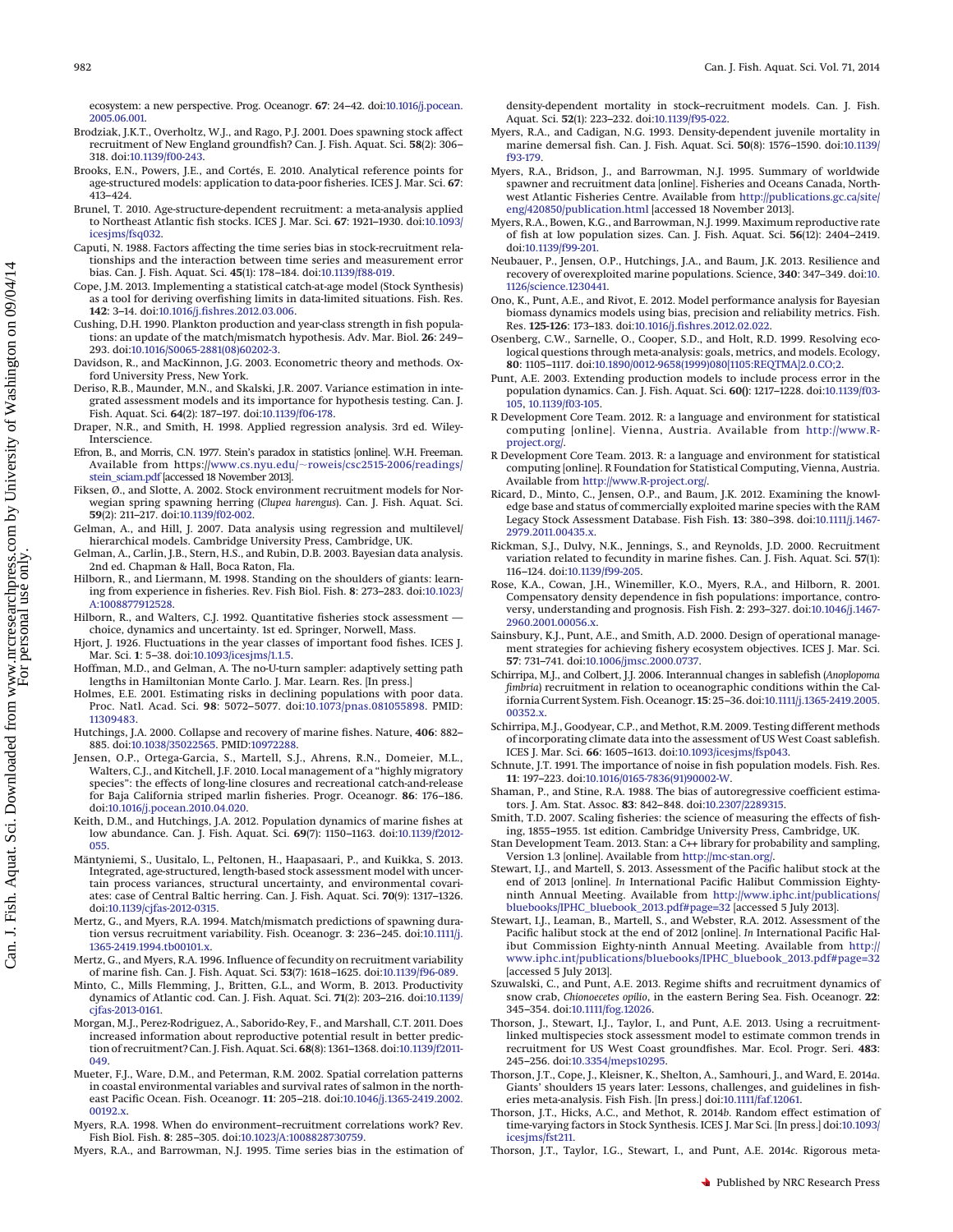ecosystem: a new perspective. Prog. Oceanogr. **67**: 24–42. doi[:10.1016/j.pocean.](http://dx.doi.org/10.1016/j.pocean.2005.06.001) [2005.06.001.](http://dx.doi.org/10.1016/j.pocean.2005.06.001)

- <span id="page-9-52"></span>Brodziak, J.K.T., Overholtz, W.J., and Rago, P.J. 2001. Does spawning stock affect recruitment of New England groundfish? Can. J. Fish. Aquat. Sci. **58**(2): 306– 318. doi[:10.1139/f00-243.](http://dx.doi.org/10.1139/f00-243)
- <span id="page-9-4"></span>Brooks, E.N., Powers, J.E., and Cortés, E. 2010. Analytical reference points for age-structured models: application to data-poor fisheries. ICES J. Mar. Sci. **67**: 413–424.
- <span id="page-9-21"></span>Brunel, T. 2010. Age-structure-dependent recruitment: a meta-analysis applied to Northeast Atlantic fish stocks. ICES J. Mar. Sci. **67**: 1921–1930. doi[:10.1093/](http://dx.doi.org/10.1093/icesjms/fsq032) [icesjms/fsq032.](http://dx.doi.org/10.1093/icesjms/fsq032)
- <span id="page-9-49"></span>Caputi, N. 1988. Factors affecting the time series bias in stock-recruitment relationships and the interaction between time series and measurement error bias. Can. J. Fish. Aquat. Sci. **45**(1): 178–184. doi[:10.1139/f88-019.](http://dx.doi.org/10.1139/f88-019)
- <span id="page-9-39"></span>Cope, J.M. 2013. Implementing a statistical catch-at-age model (Stock Synthesis) as a tool for deriving overfishing limits in data-limited situations. Fish. Res. **142**: 3–14. doi[:10.1016/j.fishres.2012.03.006.](http://dx.doi.org/10.1016/j.fishres.2012.03.006)
- <span id="page-9-2"></span>Cushing, D.H. 1990. Plankton production and year-class strength in fish populations: an update of the match/mismatch hypothesis. Adv. Mar. Biol. **26**: 249– 293. doi[:10.1016/S0065-2881\(08\)60202-3.](http://dx.doi.org/10.1016/S0065-2881(08)60202-3)
- <span id="page-9-27"></span>Davidson, R., and MacKinnon, J.G. 2003. Econometric theory and methods. Oxford University Press, New York.
- <span id="page-9-22"></span>Deriso, R.B., Maunder, M.N., and Skalski, J.R. 2007. Variance estimation in integrated assessment models and its importance for hypothesis testing. Can. J. Fish. Aquat. Sci. **64**(2): 187–197. doi[:10.1139/f06-178.](http://dx.doi.org/10.1139/f06-178)
- <span id="page-9-48"></span>Draper, N.R., and Smith, H. 1998. Applied regression analysis. 3rd ed. Wiley-Interscience.
- <span id="page-9-47"></span>Efron, B., and Morris, C.N. 1977. Stein's paradox in statistics [online]. W.H. Freeman. Available from https://www.cs.nyu.edu/-[roweis/csc2515-2006/readings/](http://www.cs.nyu.edu/~roweis/csc2515-2006/readings/stein_sciam.pdf) [stein\\_sciam.pdf](http://www.cs.nyu.edu/~roweis/csc2515-2006/readings/stein_sciam.pdf) [accessed 18 November 2013].
- <span id="page-9-20"></span>Fiksen, Ø., and Slotte, A. 2002. Stock environment recruitment models for Norwegian spring spawning herring (*Clupea harengus*). Can. J. Fish. Aquat. Sci. **59**(2): 211–217. doi[:10.1139/f02-002.](http://dx.doi.org/10.1139/f02-002)
- <span id="page-9-26"></span>Gelman, A., and Hill, J. 2007. Data analysis using regression and multilevel/ hierarchical models. Cambridge University Press, Cambridge, UK.
- <span id="page-9-46"></span>Gelman, A., Carlin, J.B., Stern, H.S., and Rubin, D.B. 2003. Bayesian data analysis. 2nd ed. Chapman & Hall, Boca Raton, Fla.
- <span id="page-9-13"></span>Hilborn, R., and Liermann, M. 1998. Standing on the shoulders of giants: learning from experience in fisheries. Rev. Fish Biol. Fish. **8**: 273–283. doi[:10.1023/](http://dx.doi.org/10.1023/A%3A1008877912528) [A:1008877912528.](http://dx.doi.org/10.1023/A%3A1008877912528)
- <span id="page-9-35"></span>Hilborn, R., and Walters, C.J. 1992. Quantitative fisheries stock assessment choice, dynamics and uncertainty. 1st ed. Springer, Norwell, Mass.
- <span id="page-9-0"></span>Hjort, J. 1926. Fluctuations in the year classes of important food fishes. ICES J. Mar. Sci. **1**: 5–38. doi[:10.1093/icesjms/1.1.5.](http://dx.doi.org/10.1093/icesjms/1.1.5)
- <span id="page-9-34"></span>Hoffman, M.D., and Gelman, A. The no-U-turn sampler: adaptively setting path lengths in Hamiltonian Monte Carlo. J. Mar. Learn. Res. [In press.]
- <span id="page-9-41"></span>Holmes, E.E. 2001. Estimating risks in declining populations with poor data. Proc. Natl. Acad. Sci. **98**: 5072–5077. doi[:10.1073/pnas.081055898.](http://dx.doi.org/10.1073/pnas.081055898) PMID: [11309483.](http://www.ncbi.nlm.nih.gov/pubmed/11309483)
- <span id="page-9-16"></span>Hutchings, J.A. 2000. Collapse and recovery of marine fishes. Nature, **406**: 882– 885. doi[:10.1038/35022565.](http://dx.doi.org/10.1038/35022565) PMID[:10972288.](http://www.ncbi.nlm.nih.gov/pubmed/10972288)
- <span id="page-9-38"></span>Jensen, O.P., Ortega-Garcia, S., Martell, S.J., Ahrens, R.N., Domeier, M.L., Walters, C.J., and Kitchell, J.F. 2010. Local management of a "highly migratory species": the effects of long-line closures and recreational catch-and-release for Baja California striped marlin fisheries. Progr. Oceanogr. **86**: 176–186. doi[:10.1016/j.pocean.2010.04.020.](http://dx.doi.org/10.1016/j.pocean.2010.04.020)
- <span id="page-9-25"></span>Keith, D.M., and Hutchings, J.A. 2012. Population dynamics of marine fishes at low abundance. Can. J. Fish. Aquat. Sci. **69**(7): 1150–1163. doi[:10.1139/f2012-](http://dx.doi.org/10.1139/f2012-055) [055.](http://dx.doi.org/10.1139/f2012-055)
- <span id="page-9-45"></span>Mäntyniemi, S., Uusitalo, L., Peltonen, H., Haapasaari, P., and Kuikka, S. 2013. Integrated, age-structured, length-based stock assessment model with uncertain process variances, structural uncertainty, and environmental covariates: case of Central Baltic herring. Can. J. Fish. Aquat. Sci. **70**(9): 1317–1326. doi[:10.1139/cjfas-2012-0315.](http://dx.doi.org/10.1139/cjfas-2012-0315)
- <span id="page-9-10"></span>Mertz, G., and Myers, R.A. 1994. Match/mismatch predictions of spawning duration versus recruitment variability. Fish. Oceanogr. **3**: 236–245. doi[:10.1111/j.](http://dx.doi.org/10.1111/j.1365-2419.1994.tb00101.x) [1365-2419.1994.tb00101.x.](http://dx.doi.org/10.1111/j.1365-2419.1994.tb00101.x)
- <span id="page-9-7"></span>Mertz, G., and Myers, R.A. 1996. Influence of fecundity on recruitment variability of marine fish. Can. J. Fish. Aquat. Sci. **53**(7): 1618–1625. doi[:10.1139/f96-089.](http://dx.doi.org/10.1139/f96-089)
- <span id="page-9-28"></span>Minto, C., Mills Flemming, J., Britten, G.L., and Worm, B. 2013. Productivity dynamics of Atlantic cod. Can. J. Fish. Aquat. Sci. **71**(2): 203–216. doi[:10.1139/](http://dx.doi.org/10.1139/cjfas-2013-0161) [cjfas-2013-0161.](http://dx.doi.org/10.1139/cjfas-2013-0161)
- <span id="page-9-1"></span>Morgan, M.J., Perez-Rodriguez, A., Saborido-Rey, F., and Marshall, C.T. 2011. Does increased information about reproductive potential result in better predic-tion of recruitment? Can. J. Fish. Aquat. Sci. **68**(8): 1361–1368. doi[:10.1139/f2011-](http://dx.doi.org/10.1139/f2011-049) [049.](http://dx.doi.org/10.1139/f2011-049)
- <span id="page-9-54"></span>Mueter, F.J., Ware, D.M., and Peterman, R.M. 2002. Spatial correlation patterns in coastal environmental variables and survival rates of salmon in the northeast Pacific Ocean. Fish. Oceanogr. **11**: 205–218. doi[:10.1046/j.1365-2419.2002.](http://dx.doi.org/10.1046/j.1365-2419.2002.00192.x) [00192.x.](http://dx.doi.org/10.1046/j.1365-2419.2002.00192.x)
- <span id="page-9-19"></span>Myers, R.A. 1998. When do environment–recruitment correlations work? Rev. Fish Biol. Fish. **8**: 285–305. doi[:10.1023/A:1008828730759.](http://dx.doi.org/10.1023/A%3A1008828730759)
- <span id="page-9-50"></span>Myers, R.A., and Barrowman, N.J. 1995. Time series bias in the estimation of

density-dependent mortality in stock–recruitment models. Can. J. Fish. Aquat. Sci. **52**(1): 223–232. doi[:10.1139/f95-022.](http://dx.doi.org/10.1139/f95-022)

- <span id="page-9-5"></span>Myers, R.A., and Cadigan, N.G. 1993. Density-dependent juvenile mortality in marine demersal fish. Can. J. Fish. Aquat. Sci. **50**(8): 1576–1590. doi[:10.1139/](http://dx.doi.org/10.1139/f93-179) [f93-179.](http://dx.doi.org/10.1139/f93-179)
- <span id="page-9-8"></span>Myers, R.A., Bridson, J., and Barrowman, N.J. 1995. Summary of worldwide spawner and recruitment data [online]. Fisheries and Oceans Canada, Northwest Atlantic Fisheries Centre. Available from [http://publications.gc.ca/site/](http://publications.gc.ca/site/eng/420850/publication.html) [eng/420850/publication.html](http://publications.gc.ca/site/eng/420850/publication.html) [accessed 18 November 2013].
- <span id="page-9-6"></span>Myers, R.A., Bowen, K.G., and Barrowman, N.J. 1999. Maximum reproductive rate of fish at low population sizes. Can. J. Fish. Aquat. Sci. **56**(12): 2404–2419. doi[:10.1139/f99-201.](http://dx.doi.org/10.1139/f99-201)
- <span id="page-9-17"></span>Neubauer, P., Jensen, O.P., Hutchings, J.A., and Baum, J.K. 2013. Resilience and recovery of overexploited marine populations. Science, **340**: 347–349. doi[:10.](http://dx.doi.org/10.1126/science.1230441) [1126/science.1230441.](http://dx.doi.org/10.1126/science.1230441)
- <span id="page-9-43"></span>Ono, K., Punt, A.E., and Rivot, E. 2012. Model performance analysis for Bayesian biomass dynamics models using bias, precision and reliability metrics. Fish. Res. **125-126**: 173–183. doi[:10.1016/j.fishres.2012.02.022.](http://dx.doi.org/10.1016/j.fishres.2012.02.022)
- <span id="page-9-23"></span>Osenberg, C.W., Sarnelle, O., Cooper, S.D., and Holt, R.D. 1999. Resolving ecological questions through meta-analysis: goals, metrics, and models. Ecology, **80**: 1105–1117. doi[:10.1890/0012-9658\(1999\)080\[1105:REQTMA\]2.0.CO;2.](http://dx.doi.org/10.1890/0012-9658(1999)080%5B1105%3AREQTMA%5D2.0.CO;2)
- <span id="page-9-42"></span>Punt, A.E. 2003. Extending production models to include process error in the population dynamics. Can. J. Fish. Aquat. Sci. **60()**: 1217–1228. doi[:10.1139/f03-](http://dx.doi.org/10.1139/f03-105) [105,](http://dx.doi.org/10.1139/f03-105) [10.1139/f03-105.](http://dx.doi.org/10.1139/f03-105)
- <span id="page-9-31"></span>R Development Core Team. 2012. R: a language and environment for statistical computing [online]. Vienna, Austria. Available from [http://www.R](http://www.R-project.org/)[project.org/.](http://www.R-project.org/)
- <span id="page-9-33"></span>R Development Core Team. 2013. R: a language and environment for statistical computing [online]. R Foundation for Statistical Computing, Vienna, Austria. Available from [http://www.R-project.org/.](http://www.R-project.org/)
- <span id="page-9-24"></span>Ricard, D., Minto, C., Jensen, O.P., and Baum, J.K. 2012. Examining the knowledge base and status of commercially exploited marine species with the RAM Legacy Stock Assessment Database. Fish Fish. **13**: 380–398. doi[:10.1111/j.1467-](http://dx.doi.org/10.1111/j.1467-2979.2011.00435.x) [2979.2011.00435.x.](http://dx.doi.org/10.1111/j.1467-2979.2011.00435.x)
- <span id="page-9-9"></span>Rickman, S.J., Dulvy, N.K., Jennings, S., and Reynolds, J.D. 2000. Recruitment variation related to fecundity in marine fishes. Can. J. Fish. Aquat. Sci. **57**(1): 116–124. doi[:10.1139/f99-205.](http://dx.doi.org/10.1139/f99-205)
- <span id="page-9-11"></span>Rose, K.A., Cowan, J.H., Winemiller, K.O., Myers, R.A., and Hilborn, R. 2001. Compensatory density dependence in fish populations: importance, controversy, understanding and prognosis. Fish Fish. **2**: 293–327. doi[:10.1046/j.1467-](http://dx.doi.org/10.1046/j.1467-2960.2001.00056.x) [2960.2001.00056.x.](http://dx.doi.org/10.1046/j.1467-2960.2001.00056.x)
- <span id="page-9-12"></span>Sainsbury, K.J., Punt, A.E., and Smith, A.D. 2000. Design of operational management strategies for achieving fishery ecosystem objectives. ICES J. Mar. Sci. **57**: 731–741. doi[:10.1006/jmsc.2000.0737.](http://dx.doi.org/10.1006/jmsc.2000.0737)
- <span id="page-9-18"></span>Schirripa, M.J., and Colbert, J.J. 2006. Interannual changes in sablefish (*Anoplopoma fimbria*) recruitment in relation to oceanographic conditions within the California Current System. Fish. Oceanogr. **15**: 25–36. doi[:10.1111/j.1365-2419.2005.](http://dx.doi.org/10.1111/j.1365-2419.2005.00352.x) [00352.x.](http://dx.doi.org/10.1111/j.1365-2419.2005.00352.x)
- <span id="page-9-37"></span>Schirripa, M.J., Goodyear, C.P., and Methot, R.M. 2009. Testing different methods of incorporating climate data into the assessment of US West Coast sablefish. ICES J. Mar. Sci. **66**: 1605–1613. doi[:10.1093/icesjms/fsp043.](http://dx.doi.org/10.1093/icesjms/fsp043)
- <span id="page-9-40"></span>Schnute, J.T. 1991. The importance of noise in fish population models. Fish. Res. **11**: 197–223. doi[:10.1016/0165-7836\(91\)90002-W.](http://dx.doi.org/10.1016/0165-7836(91)90002-W)
- <span id="page-9-51"></span>Shaman, P., and Stine, R.A. 1988. The bias of autoregressive coefficient estimators. J. Am. Stat. Assoc. **83**: 842–848. doi[:10.2307/2289315.](http://dx.doi.org/10.2307/2289315)
- <span id="page-9-36"></span>Smith, T.D. 2007. Scaling fisheries: the science of measuring the effects of fishing, 1855–1955. 1st edition. Cambridge University Press, Cambridge, UK.
- <span id="page-9-32"></span>Stan Development Team. 2013. Stan: a C++ library for probability and sampling, Version 1.3 [online]. Available from [http://mc-stan.org/.](http://mc-stan.org/)
- <span id="page-9-30"></span>Stewart, I.J., and Martell, S. 2013. Assessment of the Pacific halibut stock at the end of 2013 [online]. *In* International Pacific Halibut Commission Eightyninth Annual Meeting. Available from [http://www.iphc.int/publications/](http://www.iphc.int/publications/bluebooks/IPHC_bluebook_2013.pdf%23page=32) [bluebooks/IPHC\\_bluebook\\_2013.pdf#page=32](http://www.iphc.int/publications/bluebooks/IPHC_bluebook_2013.pdf%23page=32) [accessed 5 July 2013].
- <span id="page-9-3"></span>Stewart, I.J., Leaman, B., Martell, S., and Webster, R.A. 2012. Assessment of the Pacific halibut stock at the end of 2012 [online]. *In* International Pacific Halibut Commission Eighty-ninth Annual Meeting. Available from [http://](http://www.iphc.int/publications/bluebooks/IPHC_bluebook_2013.pdf%23page=32) [www.iphc.int/publications/bluebooks/IPHC\\_bluebook\\_2013.pdf#page=32](http://www.iphc.int/publications/bluebooks/IPHC_bluebook_2013.pdf%23page=32) [accessed 5 July 2013].
- <span id="page-9-15"></span>Szuwalski, C., and Punt, A.E. 2013. Regime shifts and recruitment dynamics of snow crab, *Chionoecetes opilio*, in the eastern Bering Sea. Fish. Oceanogr. **22**: 345–354. doi[:10.1111/fog.12026.](http://dx.doi.org/10.1111/fog.12026)
- <span id="page-9-29"></span>Thorson, J., Stewart, I.J., Taylor, I., and Punt, A.E. 2013. Using a recruitmentlinked multispecies stock assessment model to estimate common trends in recruitment for US West Coast groundfishes. Mar. Ecol. Progr. Seri. **483**: 245–256. doi[:10.3354/meps10295.](http://dx.doi.org/10.3354/meps10295)
- <span id="page-9-14"></span>Thorson, J.T., Cope, J., Kleisner, K., Shelton, A., Samhouri, J., and Ward, E. 2014*a*. Giants' shoulders 15 years later: Lessons, challenges, and guidelines in fisheries meta-analysis. Fish Fish. [In press.] doi[:10.1111/faf.12061.](http://dx.doi.org/10.1111/faf.12061)
- <span id="page-9-44"></span>Thorson, J.T., Hicks, A.C., and Methot, R. 2014*b*. Random effect estimation of time-varying factors in Stock Synthesis. ICES J. Mar Sci. [In press.] doi[:10.1093/](http://dx.doi.org/10.1093/icesjms/fst211) icesims/fst211.
- <span id="page-9-53"></span>Thorson, J.T., Taylor, I.G., Stewart, I., and Punt, A.E. 2014*c*. Rigorous meta-